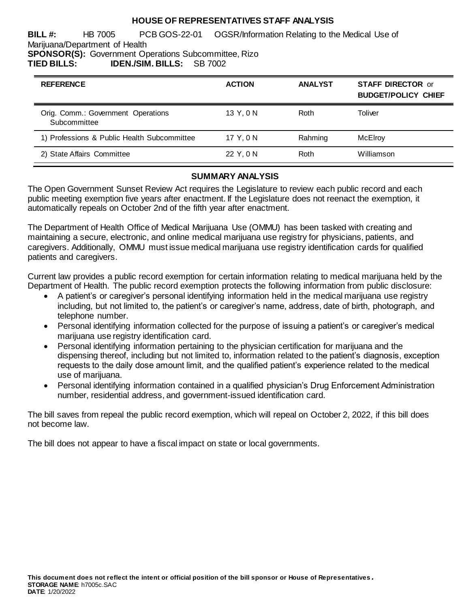#### **HOUSE OF REPRESENTATIVES STAFF ANALYSIS**

**BILL #:** HB 7005 PCB GOS-22-01 OGSR/Information Relating to the Medical Use of Marijuana/Department of Health **SPONSOR(S):** Government Operations Subcommittee, Rizo

**TIED BILLS: IDEN./SIM. BILLS:** SB 7002

| <b>REFERENCE</b>                                   | <b>ACTION</b> | <b>ANALYST</b> | <b>STAFF DIRECTOR or</b><br><b>BUDGET/POLICY CHIEF</b> |
|----------------------------------------------------|---------------|----------------|--------------------------------------------------------|
| Orig. Comm.: Government Operations<br>Subcommittee | 13 Y.ON       | Roth           | Toliver                                                |
| 1) Professions & Public Health Subcommittee        | 17 Y.ON       | Rahming        | McElroy                                                |
| 2) State Affairs Committee                         | 22 Y.ON       | Roth           | Williamson                                             |

#### **SUMMARY ANALYSIS**

The Open Government Sunset Review Act requires the Legislature to review each public record and each public meeting exemption five years after enactment. If the Legislature does not reenact the exemption, it automatically repeals on October 2nd of the fifth year after enactment.

The Department of Health Office of Medical Marijuana Use (OMMU) has been tasked with creating and maintaining a secure, electronic, and online medical marijuana use registry for physicians, patients, and caregivers. Additionally, OMMU must issue medical marijuana use registry identification cards for qualified patients and caregivers.

Current law provides a public record exemption for certain information relating to medical marijuana held by the Department of Health. The public record exemption protects the following information from public disclosure:

- A patient's or caregiver's personal identifying information held in the medical marijuana use registry including, but not limited to, the patient's or caregiver's name, address, date of birth, photograph, and telephone number.
- Personal identifying information collected for the purpose of issuing a patient's or caregiver's medical marijuana use registry identification card.
- Personal identifying information pertaining to the physician certification for marijuana and the dispensing thereof, including but not limited to, information related to the patient's diagnosis, exception requests to the daily dose amount limit, and the qualified patient's experience related to the medical use of marijuana.
- Personal identifying information contained in a qualified physician's Drug Enforcement Administration number, residential address, and government-issued identification card.

The bill saves from repeal the public record exemption, which will repeal on October 2, 2022, if this bill does not become law.

The bill does not appear to have a fiscal impact on state or local governments.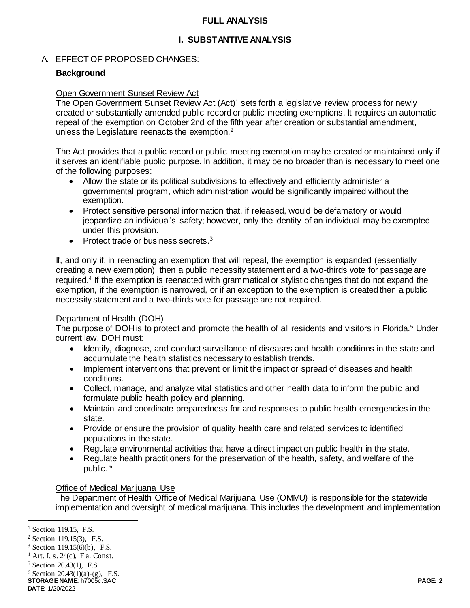#### **FULL ANALYSIS**

## **I. SUBSTANTIVE ANALYSIS**

## A. EFFECT OF PROPOSED CHANGES:

## **Background**

#### Open Government Sunset Review Act

The Open Government Sunset Review Act (Act)<sup>1</sup> sets forth a legislative review process for newly created or substantially amended public record or public meeting exemptions. It requires an automatic repeal of the exemption on October 2nd of the fifth year after creation or substantial amendment, unless the Legislature reenacts the exemption.<sup>2</sup>

The Act provides that a public record or public meeting exemption may be created or maintained only if it serves an identifiable public purpose. In addition, it may be no broader than is necessary to meet one of the following purposes:

- Allow the state or its political subdivisions to effectively and efficiently administer a governmental program, which administration would be significantly impaired without the exemption.
- Protect sensitive personal information that, if released, would be defamatory or would jeopardize an individual's safety; however, only the identity of an individual may be exempted under this provision.
- Protect trade or business secrets. $3$

If, and only if, in reenacting an exemption that will repeal, the exemption is expanded (essentially creating a new exemption), then a public necessity statement and a two-thirds vote for passage are required.<sup>4</sup> If the exemption is reenacted with grammatical or stylistic changes that do not expand the exemption, if the exemption is narrowed, or if an exception to the exemption is created then a public necessity statement and a two-thirds vote for passage are not required.

#### Department of Health (DOH)

The purpose of DOH is to protect and promote the health of all residents and visitors in Florida.<sup>5</sup> Under current law, DOH must:

- Identify, diagnose, and conduct surveillance of diseases and health conditions in the state and accumulate the health statistics necessary to establish trends.
- Implement interventions that prevent or limit the impact or spread of diseases and health conditions.
- Collect, manage, and analyze vital statistics and other health data to inform the public and formulate public health policy and planning.
- Maintain and coordinate preparedness for and responses to public health emergencies in the state.
- Provide or ensure the provision of quality health care and related services to identified populations in the state.
- Regulate environmental activities that have a direct impact on public health in the state.
- Regulate health practitioners for the preservation of the health, safety, and welfare of the public. <sup>6</sup>

#### Office of Medical Marijuana Use

The Department of Health Office of Medical Marijuana Use (OMMU) is responsible for the statewide implementation and oversight of medical marijuana. This includes the development and implementation

j

<sup>&</sup>lt;sup>1</sup> Section 119.15, F.S.

<sup>2</sup> Section 119.15(3), F.S.

 $3$  Section 119.15(6)(b), F.S.

<sup>4</sup> Art. I, s. 24(c), Fla. Const.

<sup>5</sup> Section 20.43(1), F.S.

 $6$  Section 20.43(1)(a)-(g), F.S.

**STORAGE NAME**: h7005c.SAC **PAGE: 2**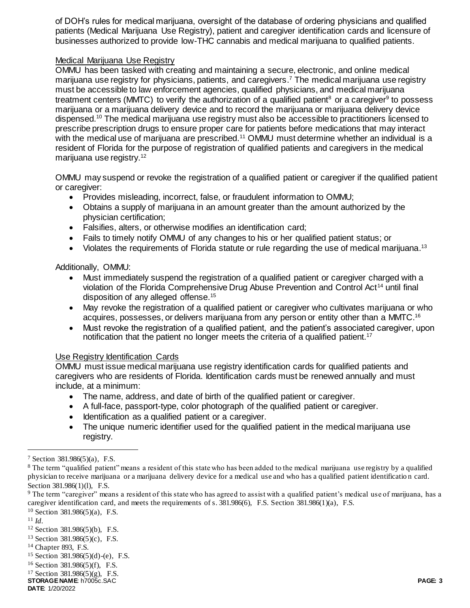of DOH's rules for medical marijuana, oversight of the database of ordering physicians and qualified patients (Medical Marijuana Use Registry), patient and caregiver identification cards and licensure of businesses authorized to provide low-THC cannabis and medical marijuana to qualified patients.

#### Medical Marijuana Use Registry

OMMU has been tasked with creating and maintaining a secure, electronic, and online medical marijuana use registry for physicians, patients, and caregivers. <sup>7</sup> The medical marijuana use registry must be accessible to law enforcement agencies, qualified physicians, and medical marijuana treatment centers (MMTC) to verify the authorization of a qualified patient<sup>8</sup> or a caregiver<sup>9</sup> to possess marijuana or a marijuana delivery device and to record the marijuana or marijuana delivery device dispensed.<sup>10</sup> The medical marijuana use registry must also be accessible to practitioners licensed to prescribe prescription drugs to ensure proper care for patients before medications that may interact with the medical use of marijuana are prescribed.<sup>11</sup> OMMU must determine whether an individual is a resident of Florida for the purpose of registration of qualified patients and caregivers in the medical marijuana use registry.<sup>12</sup>

OMMU may suspend or revoke the registration of a qualified patient or caregiver if the qualified patient or caregiver:

- Provides misleading, incorrect, false, or fraudulent information to OMMU;
- Obtains a supply of marijuana in an amount greater than the amount authorized by the physician certification;
- Falsifies, alters, or otherwise modifies an identification card;
- Fails to timely notify OMMU of any changes to his or her qualified patient status; or
- Violates the requirements of Florida statute or rule regarding the use of medical marijuana.<sup>13</sup>

#### Additionally, OMMU:

- Must immediately suspend the registration of a qualified patient or caregiver charged with a violation of the Florida Comprehensive Drug Abuse Prevention and Control Act<sup>14</sup> until final disposition of any alleged offense.<sup>15</sup>
- May revoke the registration of a qualified patient or caregiver who cultivates marijuana or who acquires, possesses, or delivers marijuana from any person or entity other than a MMTC.<sup>16</sup>
- Must revoke the registration of a qualified patient, and the patient's associated caregiver, upon notification that the patient no longer meets the criteria of a qualified patient.<sup>17</sup>

#### Use Registry Identification Cards

OMMU must issue medical marijuana use registry identification cards for qualified patients and caregivers who are residents of Florida. Identification cards must be renewed annually and must include, at a minimum:

- The name, address, and date of birth of the qualified patient or caregiver.
- A full-face, passport-type, color photograph of the qualified patient or caregiver.
- Identification as a qualified patient or a caregiver.
- The unique numeric identifier used for the qualified patient in the medical marijuana use registry.

<sup>10</sup> Section 381.986(5)(a), F.S.

 $\overline{a}$ 

 $7$  Section 381.986(5)(a), F.S.

<sup>&</sup>lt;sup>8</sup> The term "qualified patient" means a resident of this state who has been added to the medical marijuana use registry by a qualified physician to receive marijuana or a marijuana delivery device for a medical use and who has a qualified patient identificatio n card. Section 381.986(1)(1), F.S.

<sup>9</sup> The term "caregiver" means a resident of this state who has agreed to assist with a qualified patient's medical use of marijuana, has a caregiver identification card, and meets the requirements of s. 381.986(6), F.S. Section 381.986(1)(a), F.S.

<sup>11</sup> *Id.*

<sup>12</sup> Section 381.986(5)(b), F.S.

<sup>13</sup> Section 381.986(5)(c), F.S.

<sup>14</sup> Chapter 893, F.S.

<sup>15</sup> Section 381.986(5)(d)-(e), F.S.

<sup>16</sup> Section 381.986(5)(f), F.S.

<sup>17</sup> Section 381.986(5)(g), F.S.

**STORAGE NAME**: h7005c.SAC **PAGE: 3 DATE**: 1/20/2022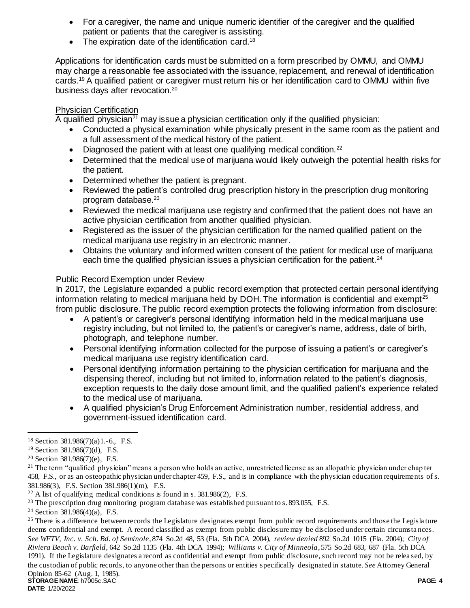- For a caregiver, the name and unique numeric identifier of the caregiver and the qualified patient or patients that the caregiver is assisting.
- The expiration date of the identification card.<sup>18</sup>

Applications for identification cards must be submitted on a form prescribed by OMMU, and OMMU may charge a reasonable fee associated with the issuance, replacement, and renewal of identification cards.<sup>19</sup> A qualified patient or caregiver must return his or her identification card to OMMU within five business days after revocation.<sup>20</sup>

# Physician Certification

A qualified physician<sup>21</sup> may issue a physician certification only if the qualified physician:

- Conducted a physical examination while physically present in the same room as the patient and a full assessment of the medical history of the patient.
- $\bullet$  Diagnosed the patient with at least one qualifying medical condition.<sup>22</sup>
- Determined that the medical use of marijuana would likely outweigh the potential health risks for the patient.
- Determined whether the patient is pregnant.
- Reviewed the patient's controlled drug prescription history in the prescription drug monitoring program database.<sup>23</sup>
- Reviewed the medical marijuana use registry and confirmed that the patient does not have an active physician certification from another qualified physician.
- Registered as the issuer of the physician certification for the named qualified patient on the medical marijuana use registry in an electronic manner.
- Obtains the voluntary and informed written consent of the patient for medical use of marijuana each time the qualified physician issues a physician certification for the patient. $24$

# Public Record Exemption under Review

In 2017, the Legislature expanded a public record exemption that protected certain personal identifying information relating to medical marijuana held by DOH. The information is confidential and exempt<sup>25</sup> from public disclosure. The public record exemption protects the following information from disclosure:

- A patient's or caregiver's personal identifying information held in the medical marijuana use registry including, but not limited to, the patient's or caregiver's name, address, date of birth, photograph, and telephone number.
- Personal identifying information collected for the purpose of issuing a patient's or caregiver's medical marijuana use registry identification card.
- Personal identifying information pertaining to the physician certification for marijuana and the dispensing thereof, including but not limited to, information related to the patient's diagnosis, exception requests to the daily dose amount limit, and the qualified patient's experience related to the medical use of marijuana.
- A qualified physician's Drug Enforcement Administration number, residential address, and government-issued identification card.

 $\overline{a}$ 

<sup>24</sup> Section 381.986(4)(a), F.S.

**STORAGE NAME**: h7005c.SAC **PAGE: 4** <sup>25</sup> There is a difference between records the Legislature designates exempt from public record requirements and those the Legislature deems confidential and exempt. A record classified as exempt from public disclosure may be disclosed under certain circumsta nces. *See WFTV, Inc. v. Sch. Bd. of Seminole*, 874 So.2d 48, 53 (Fla. 5th DCA 2004), *review denied* 892 So.2d 1015 (Fla. 2004); *City of Riviera Beach v. Barfield*, 642 So.2d 1135 (Fla. 4th DCA 1994); *Williams v. City of Minneola*, 575 So.2d 683, 687 (Fla. 5th DCA 1991). If the Legislature designates a record as confidential and exempt from public disclosure, such record may not be relea sed, by the custodian of public records, to anyone other than the persons or entities specifically designated in statute. *See* Attorney General Opinion 85-62 (Aug. 1, 1985).

<sup>18</sup> Section 381.986(7)(a)1.-6., F.S.

<sup>19</sup> Section 381.986(7)(d), F.S.

<sup>&</sup>lt;sup>20</sup> Section 381.986(7)(e), F.S.

 $21$  The term "qualified physician" means a person who holds an active, unrestricted license as an allopathic physician under chap ter 458, F.S., or as an osteopathic physician under chapter 459, F.S., and is in compliance with the physician education requirements of s. 381.986(3), F.S. Section 381.986(1)(m), F.S.

 $22$  A list of qualifying medical conditions is found in s. 381.986(2), F.S.

<sup>&</sup>lt;sup>23</sup> The prescription drug monitoring program database was established pursuant to s. 893.055, F.S.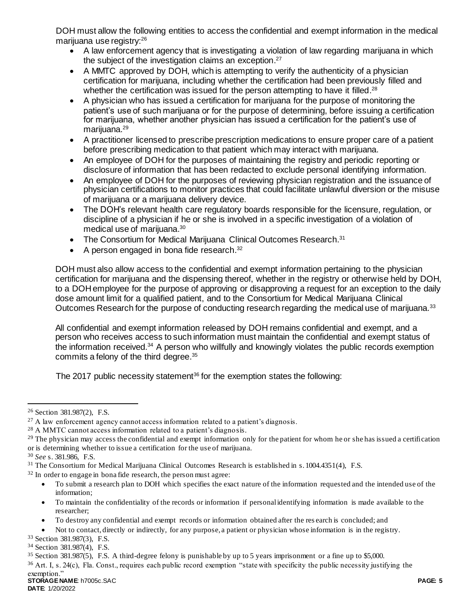DOH must allow the following entities to access the confidential and exempt information in the medical marijuana use registry: 26

- A law enforcement agency that is investigating a violation of law regarding marijuana in which the subject of the investigation claims an exception.<sup>27</sup>
- A MMTC approved by DOH, which is attempting to verify the authenticity of a physician certification for marijuana, including whether the certification had been previously filled and whether the certification was issued for the person attempting to have it filled.<sup>28</sup>
- A physician who has issued a certification for marijuana for the purpose of monitoring the patient's use of such marijuana or for the purpose of determining, before issuing a certification for marijuana, whether another physician has issued a certification for the patient's use of marijuana.<sup>29</sup>
- A practitioner licensed to prescribe prescription medications to ensure proper care of a patient before prescribing medication to that patient which may interact with marijuana.
- An employee of DOH for the purposes of maintaining the registry and periodic reporting or disclosure of information that has been redacted to exclude personal identifying information.
- An employee of DOH for the purposes of reviewing physician registration and the issuance of physician certifications to monitor practices that could facilitate unlawful diversion or the misuse of marijuana or a marijuana delivery device.
- The DOH's relevant health care regulatory boards responsible for the licensure, regulation, or discipline of a physician if he or she is involved in a specific investigation of a violation of medical use of marijuana. 30
- The Consortium for Medical Marijuana Clinical Outcomes Research.<sup>31</sup>
- A person engaged in bona fide research. $32$

DOH must also allow access to the confidential and exempt information pertaining to the physician certification for marijuana and the dispensing thereof, whether in the registry or otherwise held by DOH, to a DOH employee for the purpose of approving or disapproving a request for an exception to the daily dose amount limit for a qualified patient, and to the Consortium for Medical Marijuana Clinical Outcomes Research for the purpose of conducting research regarding the medical use of marijuana.<sup>33</sup>

All confidential and exempt information released by DOH remains confidential and exempt, and a person who receives access to such information must maintain the confidential and exempt status of the information received.<sup>34</sup> A person who willfully and knowingly violates the public records exemption commits a felony of the third degree. 35

The 2017 public necessity statement<sup>36</sup> for the exemption states the following:

 $\overline{a}$ 

- <sup>32</sup> In order to engage in bona fide research, the person must agree:
	- To submit a research plan to DOH which specifies the exact nature of the information requested and the intended use of the information;
	- To maintain the confidentiality of the records or information if personal identifying information is made available to the researcher;
	- To destroy any confidential and exempt records or information obtained after the res earch is concluded; and

<sup>33</sup> Section 381.987(3), F.S.

<sup>26</sup> Section 381.987(2), F.S.

 $27$  A law enforcement agency cannot access information related to a patient's diagnosis.

<sup>28</sup> A MMTC cannot access information related to a patient's diagnosis.

<sup>&</sup>lt;sup>29</sup> The physician may access the confidential and exempt information only for the patient for whom he or she has issued a certification or is determining whether to issue a certification for the use of marijuana.

<sup>30</sup> *See* s. 381.986, F.S.

<sup>31</sup> The Consortium for Medical Marijuana Clinical Outcomes Research is established in s. 1004.4351(4), F.S.

Not to contact, directly or indirectly, for any purpose, a patient or physician whose information is in the registry.

<sup>34</sup> Section 381.987(4), F.S.

<sup>35</sup> Section 381.987(5), F.S. A third-degree felony is punishable by up to 5 years imprisonment or a fine up to \$5,000.

 $36$  Art. I, s. 24(c), Fla. Const., requires each public record exemption "state with specificity the public necessity justifying the exemption."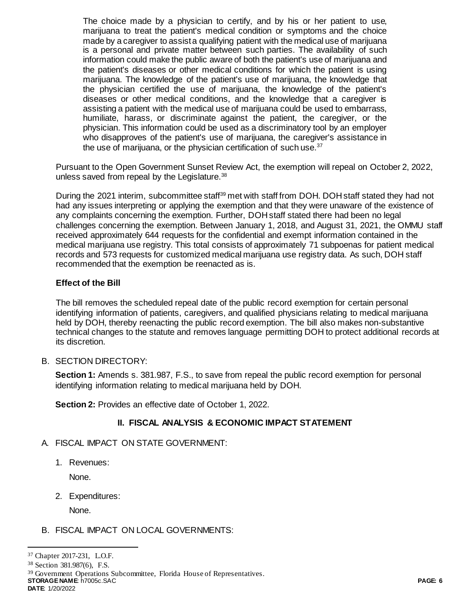The choice made by a physician to certify, and by his or her patient to use, marijuana to treat the patient's medical condition or symptoms and the choice made by a caregiver to assist a qualifying patient with the medical use of marijuana is a personal and private matter between such parties. The availability of such information could make the public aware of both the patient's use of marijuana and the patient's diseases or other medical conditions for which the patient is using marijuana. The knowledge of the patient's use of marijuana, the knowledge that the physician certified the use of marijuana, the knowledge of the patient's diseases or other medical conditions, and the knowledge that a caregiver is assisting a patient with the medical use of marijuana could be used to embarrass, humiliate, harass, or discriminate against the patient, the caregiver, or the physician. This information could be used as a discriminatory tool by an employer who disapproves of the patient's use of marijuana, the caregiver's assistance in the use of marijuana, or the physician certification of such use.<sup>37</sup>

Pursuant to the Open Government Sunset Review Act, the exemption will repeal on October 2, 2022, unless saved from repeal by the Legislature.<sup>38</sup>

During the 2021 interim, subcommittee staff<sup>39</sup> met with staff from DOH. DOH staff stated they had not had any issues interpreting or applying the exemption and that they were unaware of the existence of any complaints concerning the exemption. Further, DOH staff stated there had been no legal challenges concerning the exemption. Between January 1, 2018, and August 31, 2021, the OMMU staff received approximately 644 requests for the confidential and exempt information contained in the medical marijuana use registry. This total consists of approximately 71 subpoenas for patient medical records and 573 requests for customized medical marijuana use registry data. As such, DOH staff recommended that the exemption be reenacted as is.

## **Effect of the Bill**

The bill removes the scheduled repeal date of the public record exemption for certain personal identifying information of patients, caregivers, and qualified physicians relating to medical marijuana held by DOH, thereby reenacting the public record exemption. The bill also makes non-substantive technical changes to the statute and removes language permitting DOH to protect additional records at its discretion.

## B. SECTION DIRECTORY:

**Section 1:** Amends s. 381.987, F.S., to save from repeal the public record exemption for personal identifying information relating to medical marijuana held by DOH.

**Section 2:** Provides an effective date of October 1, 2022.

## **II. FISCAL ANALYSIS & ECONOMIC IMPACT STATEMENT**

#### A. FISCAL IMPACT ON STATE GOVERNMENT:

1. Revenues:

None.

2. Expenditures:

None.

## B. FISCAL IMPACT ON LOCAL GOVERNMENTS:

 $\overline{a}$ <sup>37</sup> Chapter 2017-231, L.O.F.

<sup>38</sup> Section 381.987(6), F.S.

**STORAGE NAME**: h7005c.SAC **PAGE: 6** <sup>39</sup> Government Operations Subcommittee, Florida House of Representatives.